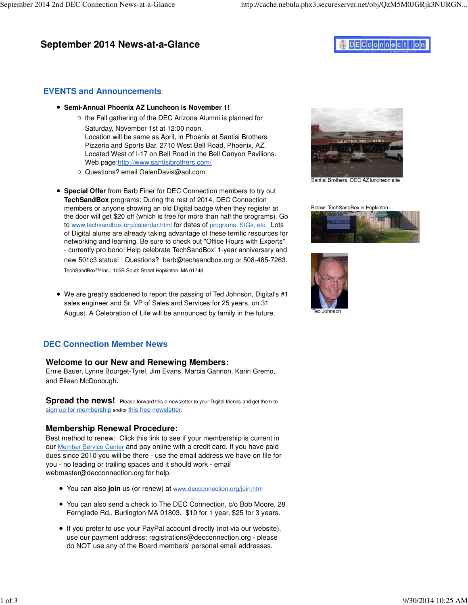## **September 2014 News-at-a-Glance**

# DECconnection

## **EVENTS and Announcements**

- **Semi-Annual Phoenix AZ Luncheon is November 1!**
	- $\circ$  the Fall gathering of the DEC Arizona Alumni is planned for Saturday, November 1st at 12:00 noon. Location will be same as April, in Phoenix at Santisi Brothers Pizzeria and Sports Bar, 2710 West Bell Road, Phoenix, AZ. Located West of I-17 on Bell Road in the Bell Canyon Pavilions. Web page[:http://www.santisibrothers.com/](http://www.santisibrothers.com)
	- Questions? email [GalenDavis@aol.com](mailto:GalenDavis@aol.com)
- **Special Offer** from Barb Finer for DEC Connection members to try out **TechSandBox** programs: During the rest of 2014, DEC Connection members or anyone showing an old Digital badge when they register at the door will get \$20 off (which is free for more than half the programs). Go to [www.techsandbox.org/calendar.html](http://www.techsandbox.org/calendar.html) for dates of programs, SIGs, etc. Lots of Digital alums are already taking advantage of these terrific resources for networking and learning. Be sure to check out "Office Hours with Experts" - currently pro bono! Help celebrate TechSandBox' 1-year anniversary and new 501c3 status! Questions? [barb@techsandbox.org or](mailto:barb@techsandbox.org) 508-485-7263. TechSandBox™ Inc., 105B South Street Hopkinton, MA 01748
- We are greatly saddened to report the passing of Ted Johnson, Digital's #1 sales engineer and Sr. VP of Sales and Services for 25 years, on 31 August. A Celebration of Life will be announced by family in the future.

## **DEC Connection Member News**

### **Welcome to our New and Renewing Members:**

Ernie Bauer, Lynne Bourget-Tyrel, Jim Evans, Marcia Gannon, Karin Gremo, and Eileen McDonough.

**Spread the news!** Please forward this e-newsletter to your Digital friends and get them to sign up for membership and/or this free newsletter.

### **Membership Renewal Procedure:**

Best method to renew: Click this link to see if your membership is current in our Member Service Center and pay online with a credit card. If you have paid dues since 2010 you will be there - use the email address we have on file for you - no leading or trailing spaces and it should work - email [webmaster@decconnection.org fo](mailto:webmaster@decconnection.org)r help.

- You can also **join** us (or renew) at [www.decconnection.org/join.htm](http://www.decconnection.org/join.htm)
- You can also send a check to The DEC Connection, c/o Bob Moore, 28 Fernglade Rd., Burlington MA 01803. \$10 for 1 year, \$25 for 3 years.
- If you prefer to use your PayPal account directly (not via our website), use our payment address: [registrations@decconnection.org - p](mailto:registrations@decconnection.org)lease do NOT use any of the Board members' personal email addresses.



Santisi Brothers, DEC AZ luncheon site

Below: TechSandBox in Hopkinton



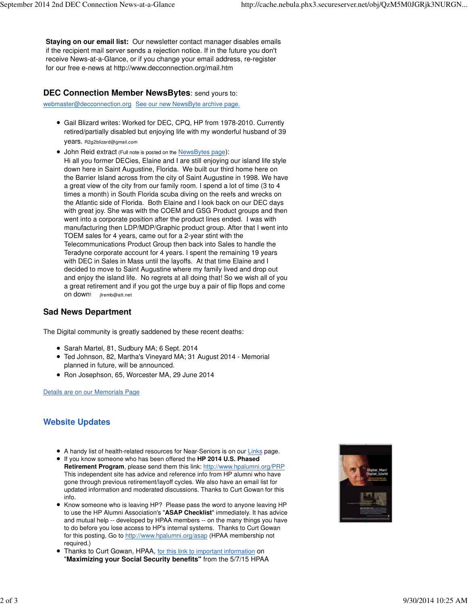**Staying on our email list:** Our newsletter contact manager disables emails if the recipient mail server sends a rejection notice. If in the future you don't receive News-at-a-Glance, or if you change your email address, re-register for our free e-news at<http://www.decconnection.org/mail.htm>

#### **DEC Connection Member NewsBytes**: send yours to:

[webmaster@decconnection.org](mailto:webmaster@decconnection.org) See our new NewsByte archive page.

- Gail Blizard writes: Worked for DEC, CPQ, HP from 1978-2010. Currently retired/partially disabled but enjoying life with my wonderful husband of 39 years. [R2g2blizard@gmail.com](mailto:R2g2blizard@gmail.com)
- John Reid extract (Full note is posted on the NewsBytes page): Hi all you former DECies, Elaine and I are still enjoying our island life style down here in Saint Augustine, Florida. We built our third home here on the Barrier Island across from the city of Saint Augustine in 1998. We have a great view of the city from our family room. I spend a lot of time (3 to 4 times a month) in South Florida scuba diving on the reefs and wrecks on the Atlantic side of Florida. Both Elaine and I look back on our DEC days with great joy. She was with the COEM and GSG Product groups and then went into a corporate position after the product lines ended. I was with manufacturing then LDP/MDP/Graphic product group. After that I went into TOEM sales for 4 years, came out for a 2-year stint with the Telecommunications Product Group then back into Sales to handle the Teradyne corporate account for 4 years. I spent the remaining 19 years with DEC in Sales in Mass until the layoffs. At that time Elaine and I decided to move to Saint Augustine where my family lived and drop out and enjoy the island life. No regrets at all doing that! So we wish all of you a great retirement and if you got the urge buy a pair of flip flops and come on down! [jlremb@att.net](mailto:jlremb@att.net)

#### **Sad News Department**

The Digital community is greatly saddened by these recent deaths:

- Sarah Martel, 81, Sudbury MA; 6 Sept. 2014
- Ted Johnson, 82, Martha's Vineyard MA; 31 August 2014 Memorial planned in future, will be announced.
- Ron Josephson, 65, Worcester MA, 29 June 2014

Details are on our Memorials Page

#### **Website Updates**

- A handy list of health-related resources for Near-Seniors is on our Links page.
- If you know someone who has been offered the **HP 2014 U.S. Phased Retirement Program**, please send them this link: http://www.hpalumni.org/PRP This independent site has advice and reference info from HP alumni who have gone through previous retirement/layoff cycles. We also have an email list for updated information and moderated discussions. Thanks to Curt Gowan for this info.
- Know someone who is leaving HP? Please pass the word to anyone leaving HP to use the HP Alumni Association's "**ASAP Checklist**" immediately. It has advice and mutual help -- developed by HPAA members -- on the many things you have to do before you lose access to HP's internal systems. Thanks to Curt Gowan for this posting. Go to [http://www.hpalumni.org/asap \(H](http://www.hpalumni.org/asap)PAA membership not required.)
- **Thanks to Curt Gowan, HPAA, for this link to important information on** "**Maximizing your Social Security benefits"** from the 5/7/15 HPAA